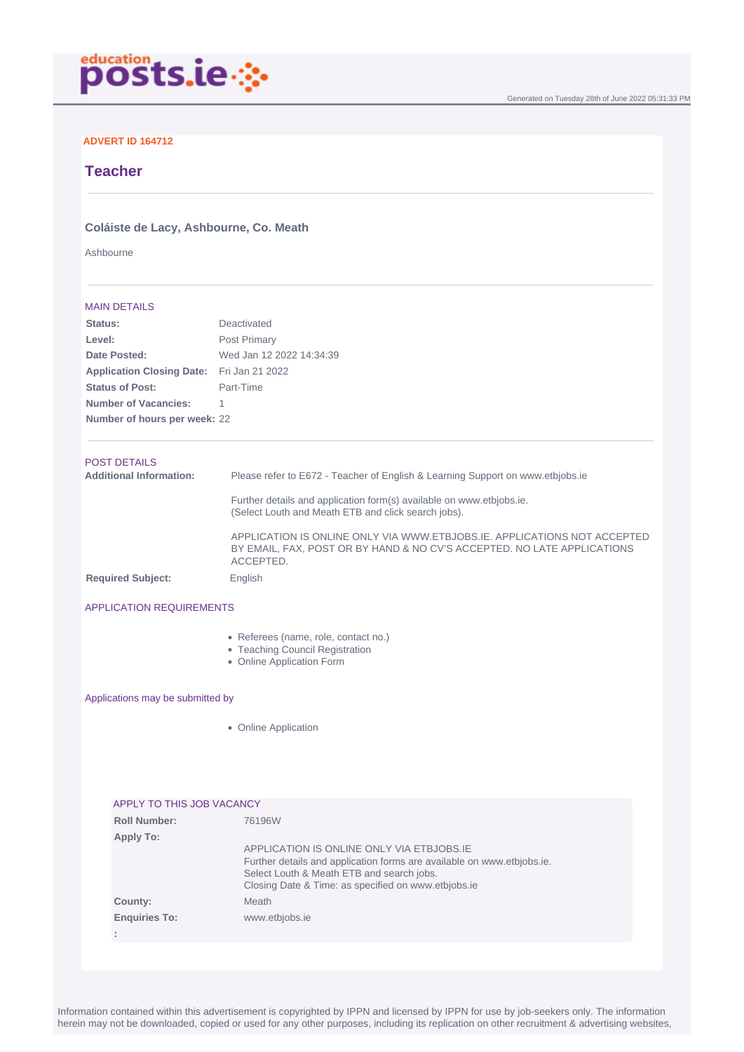

## **ADVERT ID 164712**

# **Teacher**

## **Coláiste de Lacy, Ashbourne, Co. Meath**

Ashbourne

#### MAIN DETAILS

| Status:                          | Deactivated                                                                                                                                                      |
|----------------------------------|------------------------------------------------------------------------------------------------------------------------------------------------------------------|
| Level:                           | Post Primary                                                                                                                                                     |
| Date Posted:                     | Wed Jan 12 2022 14:34:39                                                                                                                                         |
| <b>Application Closing Date:</b> | Fri Jan 21 2022                                                                                                                                                  |
| <b>Status of Post:</b>           | Part-Time                                                                                                                                                        |
| <b>Number of Vacancies:</b>      |                                                                                                                                                                  |
| Number of hours per week: 22     |                                                                                                                                                                  |
| <b>POST DETAILS</b>              |                                                                                                                                                                  |
| <b>Additional Information:</b>   | Please refer to E672 - Teacher of English & Learning Support on www.etbjobs.ie                                                                                   |
|                                  | Further details and application form(s) available on www.etbjobs.ie.<br>(Select Louth and Meath ETB and click search jobs).                                      |
|                                  | APPLICATION IS ONLINE ONLY VIA WWW.ETBJOBS.IE, APPLICATIONS NOT ACCEPTED<br>BY EMAIL, FAX, POST OR BY HAND & NO CV'S ACCEPTED. NO LATE APPLICATIONS<br>ACCEPTED. |
| <b>Required Subject:</b>         | English                                                                                                                                                          |
|                                  |                                                                                                                                                                  |

### APPLICATION REQUIREMENTS

- Referees (name, role, contact no.)
- Teaching Council Registration
- Online Application Form

#### Applications may be submitted by

• Online Application

| APPLY TO THIS JOB VACANCY |  |
|---------------------------|--|
|                           |  |
|                           |  |
|                           |  |
|                           |  |
|                           |  |
|                           |  |